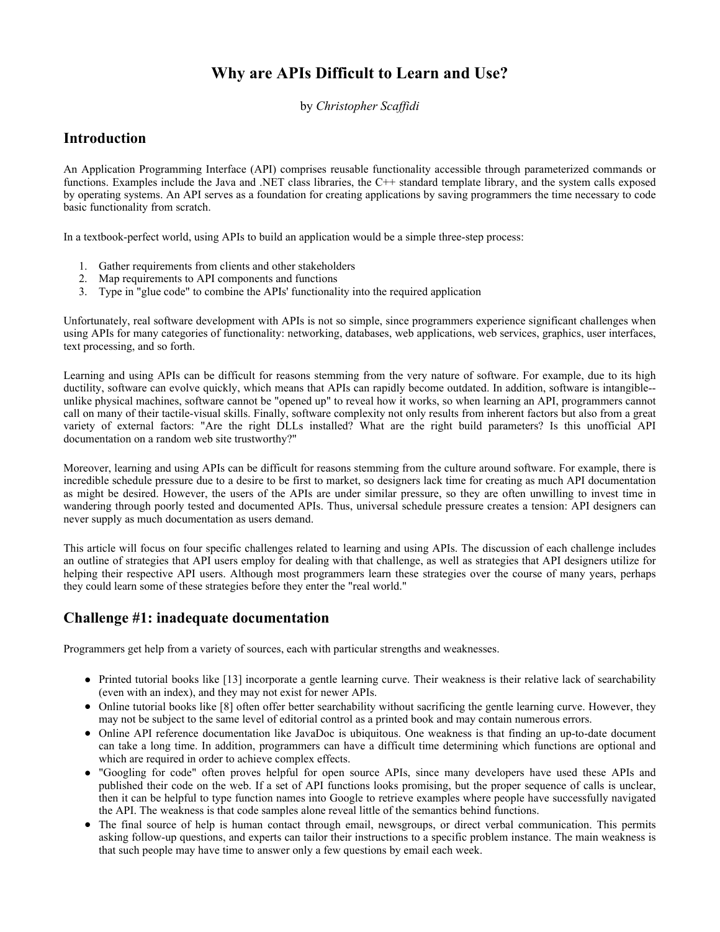# Why are APIs Difficult to Learn and Use?

by Christopher Scaffidi

# Introduction

An Application Programming Interface (API) comprises reusable functionality accessible through parameterized commands or functions. Examples include the Java and .NET class libraries, the C++ standard template library, and the system calls exposed by operating systems. An API serves as a foundation for creating applications by saving programmers the time necessary to code basic functionality from scratch.

In a textbook-perfect world, using APIs to build an application would be a simple three-step process:

- 1. Gather requirements from clients and other stakeholders
- 2. Map requirements to API components and functions
- 3. Type in "glue code" to combine the APIs' functionality into the required application

Unfortunately, real software development with APIs is not so simple, since programmers experience significant challenges when using APIs for many categories of functionality: networking, databases, web applications, web services, graphics, user interfaces, text processing, and so forth.

Learning and using APIs can be difficult for reasons stemming from the very nature of software. For example, due to its high ductility, software can evolve quickly, which means that APIs can rapidly become outdated. In addition, software is intangible- unlike physical machines, software cannot be "opened up" to reveal how it works, so when learning an API, programmers cannot call on many of their tactile-visual skills. Finally, software complexity not only results from inherent factors but also from a great variety of external factors: "Are the right DLLs installed? What are the right build parameters? Is this unofficial API documentation on a random web site trustworthy?"

Moreover, learning and using APIs can be difficult for reasons stemming from the culture around software. For example, there is incredible schedule pressure due to a desire to be first to market, so designers lack time for creating as much API documentation as might be desired. However, the users of the APIs are under similar pressure, so they are often unwilling to invest time in wandering through poorly tested and documented APIs. Thus, universal schedule pressure creates a tension: API designers can never supply as much documentation as users demand.

This article will focus on four specific challenges related to learning and using APIs. The discussion of each challenge includes an outline of strategies that API users employ for dealing with that challenge, as well as strategies that API designers utilize for helping their respective API users. Although most programmers learn these strategies over the course of many years, perhaps they could learn some of these strategies before they enter the "real world."

# Challenge #1: inadequate documentation

Programmers get help from a variety of sources, each with particular strengths and weaknesses.

- Printed tutorial books like [13] incorporate a gentle learning curve. Their weakness is their relative lack of searchability (even with an index), and they may not exist for newer APIs.
- Online tutorial books like [8] often offer better searchability without sacrificing the gentle learning curve. However, they may not be subject to the same level of editorial control as a printed book and may contain numerous errors.
- Online API reference documentation like JavaDoc is ubiquitous. One weakness is that finding an up-to-date document can take a long time. In addition, programmers can have a difficult time determining which functions are optional and which are required in order to achieve complex effects.
- "Googling for code" often proves helpful for open source APIs, since many developers have used these APIs and published their code on the web. If a set of API functions looks promising, but the proper sequence of calls is unclear, then it can be helpful to type function names into Google to retrieve examples where people have successfully navigated the API. The weakness is that code samples alone reveal little of the semantics behind functions.
- The final source of help is human contact through email, newsgroups, or direct verbal communication. This permits asking follow-up questions, and experts can tailor their instructions to a specific problem instance. The main weakness is that such people may have time to answer only a few questions by email each week.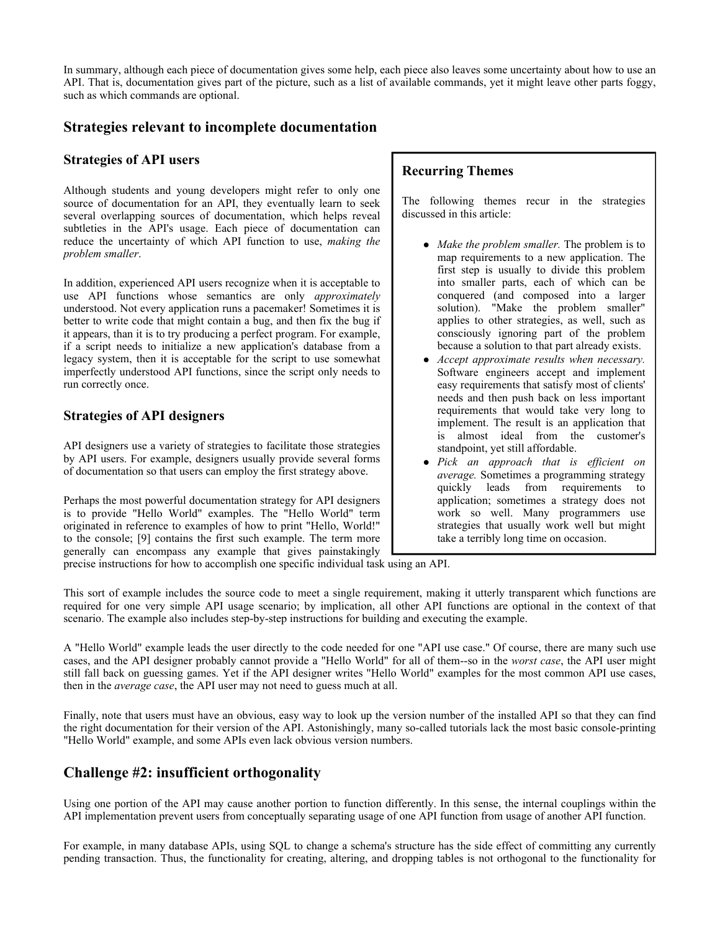In summary, although each piece of documentation gives some help, each piece also leaves some uncertainty about how to use an API. That is, documentation gives part of the picture, such as a list of available commands, yet it might leave other parts foggy, such as which commands are optional.

### Strategies relevant to incomplete documentation

#### Strategies of API users

Although students and young developers might refer to only one source of documentation for an API, they eventually learn to seek several overlapping sources of documentation, which helps reveal subtleties in the API's usage. Each piece of documentation can reduce the uncertainty of which API function to use, making the problem smaller.

In addition, experienced API users recognize when it is acceptable to use API functions whose semantics are only *approximately* understood. Not every application runs a pacemaker! Sometimes it is better to write code that might contain a bug, and then fix the bug if it appears, than it is to try producing a perfect program. For example, if a script needs to initialize a new application's database from a legacy system, then it is acceptable for the script to use somewhat imperfectly understood API functions, since the script only needs to run correctly once.

### Strategies of API designers

API designers use a variety of strategies to facilitate those strategies by API users. For example, designers usually provide several forms of documentation so that users can employ the first strategy above.

Perhaps the most powerful documentation strategy for API designers is to provide "Hello World" examples. The "Hello World" term originated in reference to examples of how to print "Hello, World!" to the console; [9] contains the first such example. The term more generally can encompass any example that gives painstakingly

### Recurring Themes

The following themes recur in the strategies discussed in this article:

- Make the problem smaller. The problem is to map requirements to a new application. The first step is usually to divide this problem into smaller parts, each of which can be conquered (and composed into a larger solution). "Make the problem smaller" applies to other strategies, as well, such as consciously ignoring part of the problem because a solution to that part already exists.
- Accept approximate results when necessary. Software engineers accept and implement easy requirements that satisfy most of clients' needs and then push back on less important requirements that would take very long to implement. The result is an application that is almost ideal from the customer's standpoint, yet still affordable.
- Pick an approach that is efficient on average. Sometimes a programming strategy quickly leads from requirements to application; sometimes a strategy does not work so well. Many programmers use strategies that usually work well but might take a terribly long time on occasion.

precise instructions for how to accomplish one specific individual task using an API.

This sort of example includes the source code to meet a single requirement, making it utterly transparent which functions are required for one very simple API usage scenario; by implication, all other API functions are optional in the context of that scenario. The example also includes step-by-step instructions for building and executing the example.

A "Hello World" example leads the user directly to the code needed for one "API use case." Of course, there are many such use cases, and the API designer probably cannot provide a "Hello World" for all of them--so in the worst case, the API user might still fall back on guessing games. Yet if the API designer writes "Hello World" examples for the most common API use cases, then in the average case, the API user may not need to guess much at all.

Finally, note that users must have an obvious, easy way to look up the version number of the installed API so that they can find the right documentation for their version of the API. Astonishingly, many so-called tutorials lack the most basic console-printing "Hello World" example, and some APIs even lack obvious version numbers.

# Challenge #2: insufficient orthogonality

Using one portion of the API may cause another portion to function differently. In this sense, the internal couplings within the API implementation prevent users from conceptually separating usage of one API function from usage of another API function.

For example, in many database APIs, using SQL to change a schema's structure has the side effect of committing any currently pending transaction. Thus, the functionality for creating, altering, and dropping tables is not orthogonal to the functionality for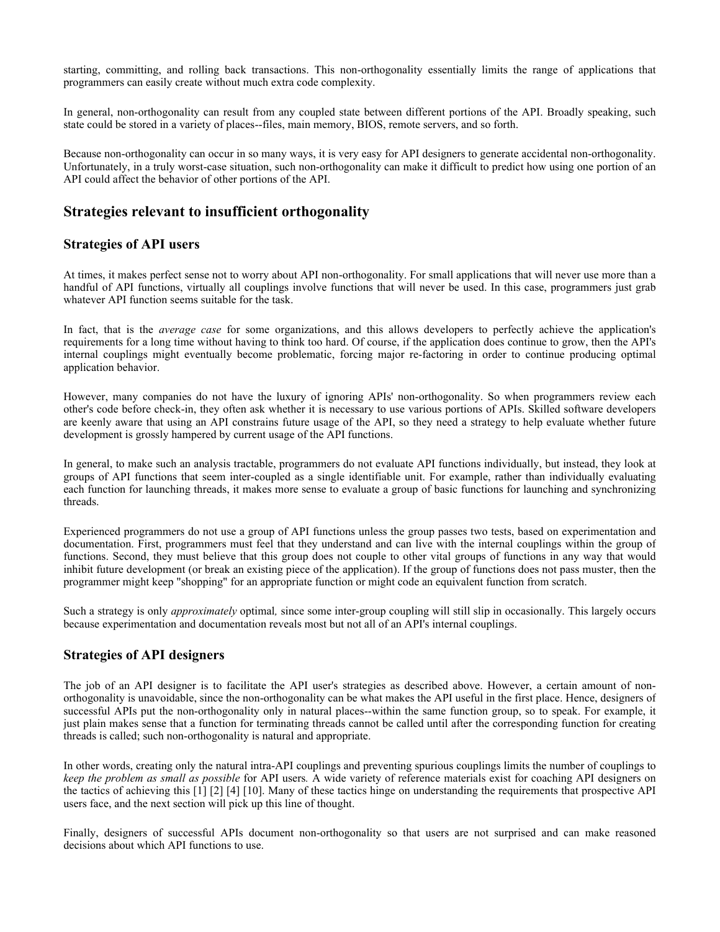starting, committing, and rolling back transactions. This non-orthogonality essentially limits the range of applications that programmers can easily create without much extra code complexity.

In general, non-orthogonality can result from any coupled state between different portions of the API. Broadly speaking, such state could be stored in a variety of places--files, main memory, BIOS, remote servers, and so forth.

Because non-orthogonality can occur in so many ways, it is very easy for API designers to generate accidental non-orthogonality. Unfortunately, in a truly worst-case situation, such non-orthogonality can make it difficult to predict how using one portion of an API could affect the behavior of other portions of the API.

## Strategies relevant to insufficient orthogonality

#### Strategies of API users

At times, it makes perfect sense not to worry about API non-orthogonality. For small applications that will never use more than a handful of API functions, virtually all couplings involve functions that will never be used. In this case, programmers just grab whatever API function seems suitable for the task.

In fact, that is the *average case* for some organizations, and this allows developers to perfectly achieve the application's requirements for a long time without having to think too hard. Of course, if the application does continue to grow, then the API's internal couplings might eventually become problematic, forcing major re-factoring in order to continue producing optimal application behavior.

However, many companies do not have the luxury of ignoring APIs' non-orthogonality. So when programmers review each other's code before check-in, they often ask whether it is necessary to use various portions of APIs. Skilled software developers are keenly aware that using an API constrains future usage of the API, so they need a strategy to help evaluate whether future development is grossly hampered by current usage of the API functions.

In general, to make such an analysis tractable, programmers do not evaluate API functions individually, but instead, they look at groups of API functions that seem inter-coupled as a single identifiable unit. For example, rather than individually evaluating each function for launching threads, it makes more sense to evaluate a group of basic functions for launching and synchronizing threads.

Experienced programmers do not use a group of API functions unless the group passes two tests, based on experimentation and documentation. First, programmers must feel that they understand and can live with the internal couplings within the group of functions. Second, they must believe that this group does not couple to other vital groups of functions in any way that would inhibit future development (or break an existing piece of the application). If the group of functions does not pass muster, then the programmer might keep "shopping" for an appropriate function or might code an equivalent function from scratch.

Such a strategy is only *approximately* optimal, since some inter-group coupling will still slip in occasionally. This largely occurs because experimentation and documentation reveals most but not all of an API's internal couplings.

#### Strategies of API designers

The job of an API designer is to facilitate the API user's strategies as described above. However, a certain amount of nonorthogonality is unavoidable, since the non-orthogonality can be what makes the API useful in the first place. Hence, designers of successful APIs put the non-orthogonality only in natural places--within the same function group, so to speak. For example, it just plain makes sense that a function for terminating threads cannot be called until after the corresponding function for creating threads is called; such non-orthogonality is natural and appropriate.

In other words, creating only the natural intra-API couplings and preventing spurious couplings limits the number of couplings to keep the problem as small as possible for API users. A wide variety of reference materials exist for coaching API designers on the tactics of achieving this [1] [2] [4] [10]. Many of these tactics hinge on understanding the requirements that prospective API users face, and the next section will pick up this line of thought.

Finally, designers of successful APIs document non-orthogonality so that users are not surprised and can make reasoned decisions about which API functions to use.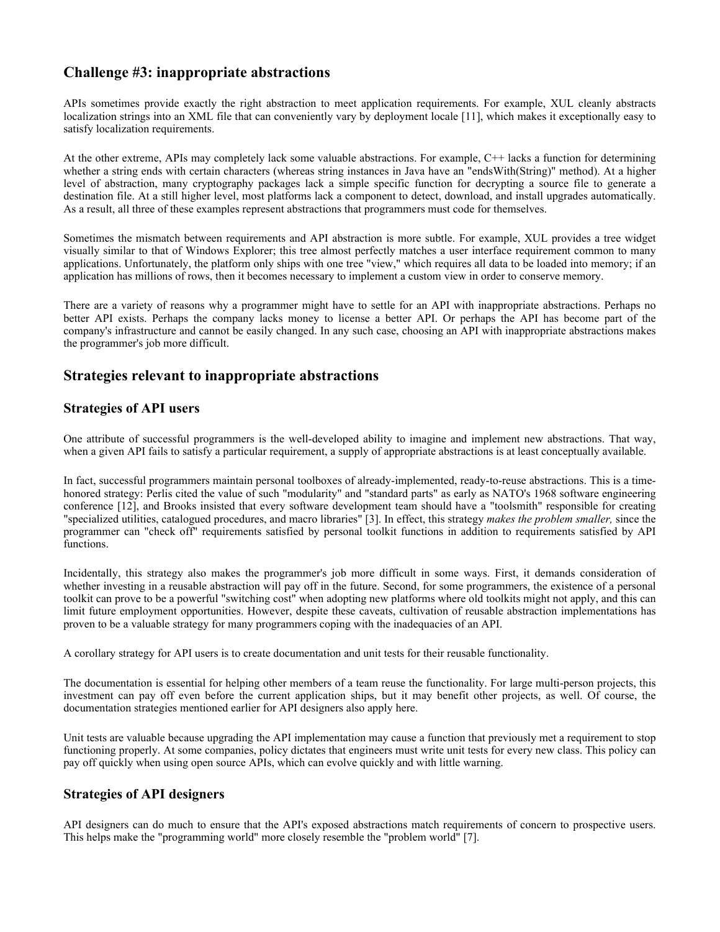# Challenge #3: inappropriate abstractions

APIs sometimes provide exactly the right abstraction to meet application requirements. For example, XUL cleanly abstracts localization strings into an XML file that can conveniently vary by deployment locale [11], which makes it exceptionally easy to satisfy localization requirements.

At the other extreme, APIs may completely lack some valuable abstractions. For example, C++ lacks a function for determining whether a string ends with certain characters (whereas string instances in Java have an "endsWith(String)" method). At a higher level of abstraction, many cryptography packages lack a simple specific function for decrypting a source file to generate a destination file. At a still higher level, most platforms lack a component to detect, download, and install upgrades automatically. As a result, all three of these examples represent abstractions that programmers must code for themselves.

Sometimes the mismatch between requirements and API abstraction is more subtle. For example, XUL provides a tree widget visually similar to that of Windows Explorer; this tree almost perfectly matches a user interface requirement common to many applications. Unfortunately, the platform only ships with one tree "view," which requires all data to be loaded into memory; if an application has millions of rows, then it becomes necessary to implement a custom view in order to conserve memory.

There are a variety of reasons why a programmer might have to settle for an API with inappropriate abstractions. Perhaps no better API exists. Perhaps the company lacks money to license a better API. Or perhaps the API has become part of the company's infrastructure and cannot be easily changed. In any such case, choosing an API with inappropriate abstractions makes the programmer's job more difficult.

# Strategies relevant to inappropriate abstractions

## Strategies of API users

One attribute of successful programmers is the well-developed ability to imagine and implement new abstractions. That way, when a given API fails to satisfy a particular requirement, a supply of appropriate abstractions is at least conceptually available.

In fact, successful programmers maintain personal toolboxes of already-implemented, ready-to-reuse abstractions. This is a timehonored strategy: Perlis cited the value of such "modularity" and "standard parts" as early as NATO's 1968 software engineering conference [12], and Brooks insisted that every software development team should have a "toolsmith" responsible for creating "specialized utilities, catalogued procedures, and macro libraries" [3]. In effect, this strategy makes the problem smaller, since the programmer can "check off" requirements satisfied by personal toolkit functions in addition to requirements satisfied by API functions.

Incidentally, this strategy also makes the programmer's job more difficult in some ways. First, it demands consideration of whether investing in a reusable abstraction will pay off in the future. Second, for some programmers, the existence of a personal toolkit can prove to be a powerful "switching cost" when adopting new platforms where old toolkits might not apply, and this can limit future employment opportunities. However, despite these caveats, cultivation of reusable abstraction implementations has proven to be a valuable strategy for many programmers coping with the inadequacies of an API.

A corollary strategy for API users is to create documentation and unit tests for their reusable functionality.

The documentation is essential for helping other members of a team reuse the functionality. For large multi-person projects, this investment can pay off even before the current application ships, but it may benefit other projects, as well. Of course, the documentation strategies mentioned earlier for API designers also apply here.

Unit tests are valuable because upgrading the API implementation may cause a function that previously met a requirement to stop functioning properly. At some companies, policy dictates that engineers must write unit tests for every new class. This policy can pay off quickly when using open source APIs, which can evolve quickly and with little warning.

## Strategies of API designers

API designers can do much to ensure that the API's exposed abstractions match requirements of concern to prospective users. This helps make the "programming world" more closely resemble the "problem world" [7].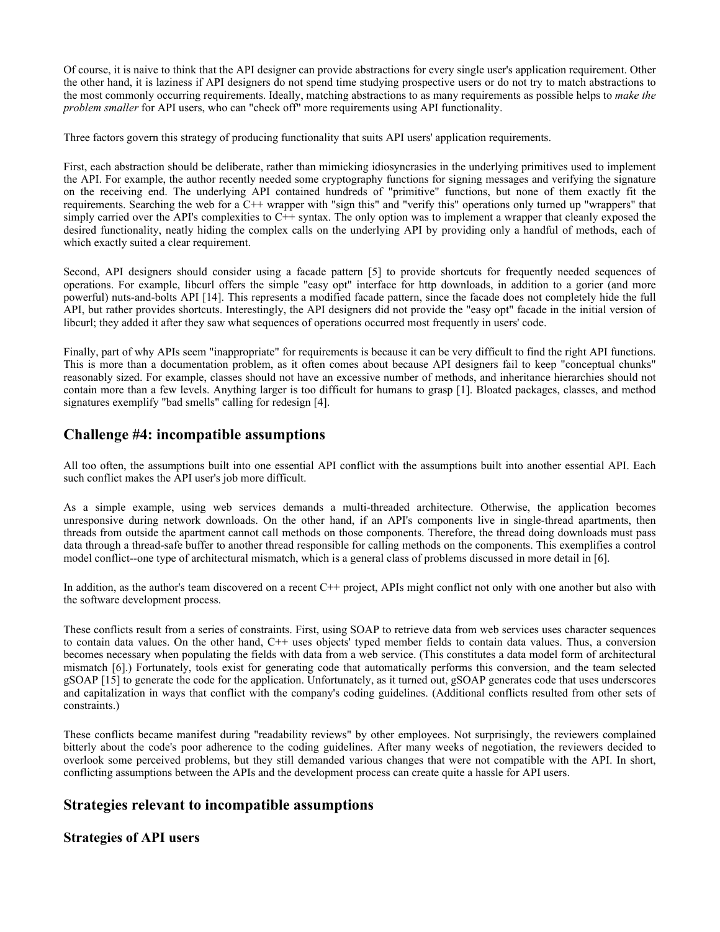Of course, it is naive to think that the API designer can provide abstractions for every single user's application requirement. Other the other hand, it is laziness if API designers do not spend time studying prospective users or do not try to match abstractions to the most commonly occurring requirements. Ideally, matching abstractions to as many requirements as possible helps to *make the* problem smaller for API users, who can "check off" more requirements using API functionality.

Three factors govern this strategy of producing functionality that suits API users' application requirements.

First, each abstraction should be deliberate, rather than mimicking idiosyncrasies in the underlying primitives used to implement the API. For example, the author recently needed some cryptography functions for signing messages and verifying the signature on the receiving end. The underlying API contained hundreds of "primitive" functions, but none of them exactly fit the requirements. Searching the web for a C++ wrapper with "sign this" and "verify this" operations only turned up "wrappers" that simply carried over the API's complexities to  $C^{++}$  syntax. The only option was to implement a wrapper that cleanly exposed the desired functionality, neatly hiding the complex calls on the underlying API by providing only a handful of methods, each of which exactly suited a clear requirement.

Second, API designers should consider using a facade pattern [5] to provide shortcuts for frequently needed sequences of operations. For example, libcurl offers the simple "easy opt" interface for http downloads, in addition to a gorier (and more powerful) nuts-and-bolts API [14]. This represents a modified facade pattern, since the facade does not completely hide the full API, but rather provides shortcuts. Interestingly, the API designers did not provide the "easy opt" facade in the initial version of libcurl; they added it after they saw what sequences of operations occurred most frequently in users' code.

Finally, part of why APIs seem "inappropriate" for requirements is because it can be very difficult to find the right API functions. This is more than a documentation problem, as it often comes about because API designers fail to keep "conceptual chunks" reasonably sized. For example, classes should not have an excessive number of methods, and inheritance hierarchies should not contain more than a few levels. Anything larger is too difficult for humans to grasp [1]. Bloated packages, classes, and method signatures exemplify "bad smells" calling for redesign [4].

# Challenge #4: incompatible assumptions

All too often, the assumptions built into one essential API conflict with the assumptions built into another essential API. Each such conflict makes the API user's job more difficult.

As a simple example, using web services demands a multi-threaded architecture. Otherwise, the application becomes unresponsive during network downloads. On the other hand, if an API's components live in single-thread apartments, then threads from outside the apartment cannot call methods on those components. Therefore, the thread doing downloads must pass data through a thread-safe buffer to another thread responsible for calling methods on the components. This exemplifies a control model conflict--one type of architectural mismatch, which is a general class of problems discussed in more detail in [6].

In addition, as the author's team discovered on a recent C++ project, APIs might conflict not only with one another but also with the software development process.

These conflicts result from a series of constraints. First, using SOAP to retrieve data from web services uses character sequences to contain data values. On the other hand, C++ uses objects' typed member fields to contain data values. Thus, a conversion becomes necessary when populating the fields with data from a web service. (This constitutes a data model form of architectural mismatch [6].) Fortunately, tools exist for generating code that automatically performs this conversion, and the team selected gSOAP [15] to generate the code for the application. Unfortunately, as it turned out, gSOAP generates code that uses underscores and capitalization in ways that conflict with the company's coding guidelines. (Additional conflicts resulted from other sets of constraints.)

These conflicts became manifest during "readability reviews" by other employees. Not surprisingly, the reviewers complained bitterly about the code's poor adherence to the coding guidelines. After many weeks of negotiation, the reviewers decided to overlook some perceived problems, but they still demanded various changes that were not compatible with the API. In short, conflicting assumptions between the APIs and the development process can create quite a hassle for API users.

# Strategies relevant to incompatible assumptions

## Strategies of API users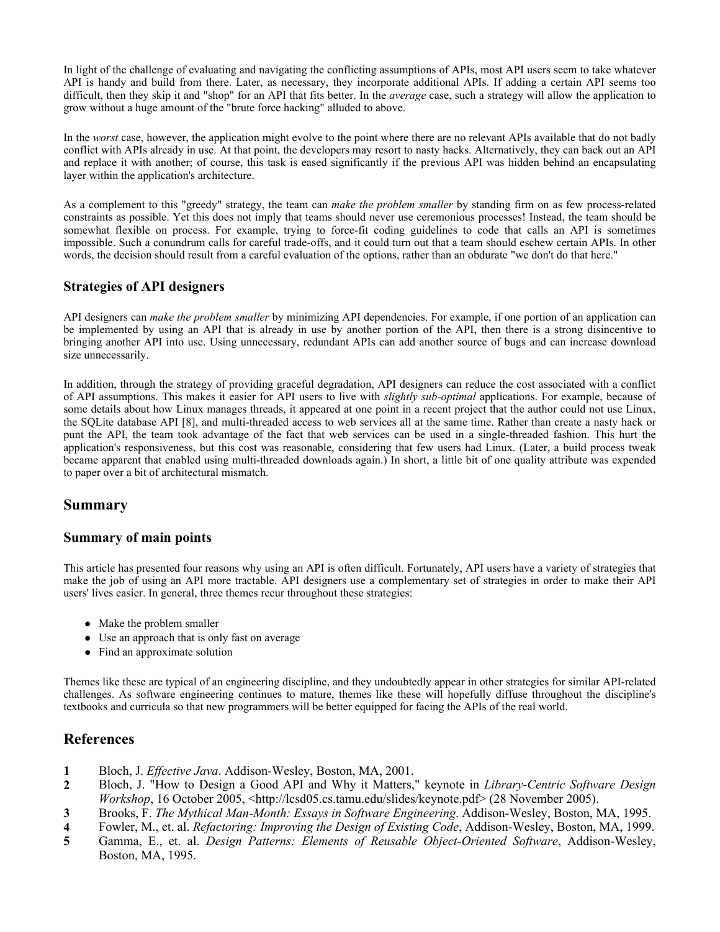In light of the challenge of evaluating and navigating the conflicting assumptions of APIs, most API users seem to take whatever API is handy and build from there. Later, as necessary, they incorporate additional APIs. If adding a certain API seems too difficult, then they skip it and "shop" for an API that fits better. In the *average* case, such a strategy will allow the application to grow without a huge amount of the "brute force hacking" alluded to above.

In the *worst* case, however, the application might evolve to the point where there are no relevant APIs available that do not badly conflict with APIs already in use. At that point, the developers may resort to nasty hacks. Alternatively, they can back out an API and replace it with another; of course, this task is eased significantly if the previous API was hidden behind an encapsulating layer within the application's architecture.

As a complement to this "greedy" strategy, the team can *make the problem smaller* by standing firm on as few process-related constraints as possible. Yet this does not imply that teams should never use ceremonious processes! Instead, the team should be somewhat flexible on process. For example, trying to force-fit coding guidelines to code that calls an API is sometimes impossible. Such a conundrum calls for careful trade-offs, and it could turn out that a team should eschew certain APIs. In other words, the decision should result from a careful evaluation of the options, rather than an obdurate "we don't do that here."

### Strategies of API designers

API designers can *make the problem smaller* by minimizing API dependencies. For example, if one portion of an application can be implemented by using an API that is already in use by another portion of the API, then there is a strong disincentive to bringing another API into use. Using unnecessary, redundant APIs can add another source of bugs and can increase download size unnecessarily.

In addition, through the strategy of providing graceful degradation, API designers can reduce the cost associated with a conflict of API assumptions. This makes it easier for API users to live with *slightly sub-optimal* applications. For example, because of some details about how Linux manages threads, it appeared at one point in a recent project that the author could not use Linux, the SQLite database API [8], and multi-threaded access to web services all at the same time. Rather than create a nasty hack or punt the API, the team took advantage of the fact that web services can be used in a single-threaded fashion. This hurt the application's responsiveness, but this cost was reasonable, considering that few users had Linux. (Later, a build process tweak became apparent that enabled using multi-threaded downloads again.) In short, a little bit of one quality attribute was expended to paper over a bit of architectural mismatch.

## Summary

#### Summary of main points

This article has presented four reasons why using an API is often difficult. Fortunately, API users have a variety of strategies that make the job of using an API more tractable. API designers use a complementary set of strategies in order to make their API users' lives easier. In general, three themes recur throughout these strategies:

- Make the problem smaller
- Use an approach that is only fast on average
- Find an approximate solution

Themes like these are typical of an engineering discipline, and they undoubtedly appear in other strategies for similar API-related challenges. As software engineering continues to mature, themes like these will hopefully diffuse throughout the discipline's textbooks and curricula so that new programmers will be better equipped for facing the APIs of the real world.

## References

- 1 Bloch, J. Effective Java. Addison-Wesley, Boston, MA, 2001.
- 2 Bloch, J. "How to Design a Good API and Why it Matters," keynote in *Library-Centric Software Design* Workshop, 16 October 2005, <http://lcsd05.cs.tamu.edu/slides/keynote.pdf> (28 November 2005).
- 3 Brooks, F. The Mythical Man-Month: Essays in Software Engineering. Addison-Wesley, Boston, MA, 1995.
- 
- 4 Fowler, M., et. al. *Refactoring: Improving the Design of Existing Code*, Addison-Wesley, Boston, MA, 1999.<br>5 Gamma, E., et. al. *Design Patterns: Elements of Reusable Obiect-Oriented Software*. Addison-Wesley. Gamma, E., et. al. *Design Patterns: Elements of Reusable Object-Oriented Software*, Addison-Wesley, Boston, MA, 1995.